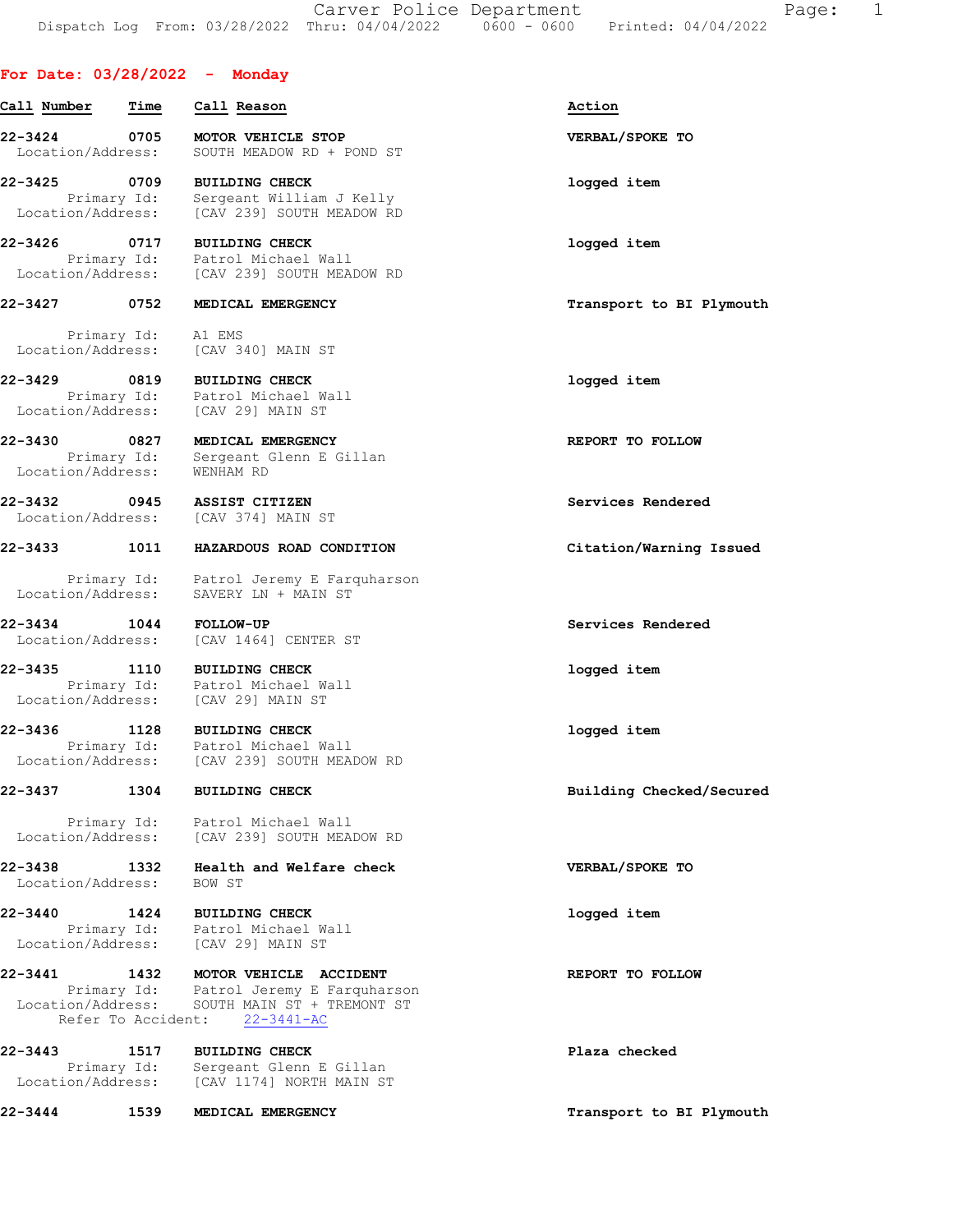## For Date: 03/28/2022 - Monday

Call Number Time Call Reason Action 22-3424 0705 MOTOR VEHICLE STOP VERBAL/SPOKE TO Location/Address: SOUTH MEADOW RD + POND ST 22-3425 0709 BUILDING CHECK logged item Primary Id: Sergeant William J Kelly Location/Address: [CAV 239] SOUTH MEADOW RD 22-3426 0717 BUILDING CHECK logged item Primary Id: Patrol Michael Wall Location/Address: [CAV 239] SOUTH MEADOW RD 22-3427 0752 MEDICAL EMERGENCY Transport to BI Plymouth

 Primary Id: A1 EMS Location/Address: [CAV 340] MAIN ST

22-3429 0819 BUILDING CHECK logged item Primary Id: Patrol Michael Wall Location/Address: [CAV 29] MAIN ST

22-3430 0827 MEDICAL EMERGENCY REPORT TO FOLLOW Primary Id: Sergeant Glenn E Gillan Location/Address: WENHAM RD

22-3432 0945 ASSIST CITIZEN Services Rendered Location/Address: [CAV 374] MAIN ST

22-3433 1011 HAZARDOUS ROAD CONDITION Citation/Warning Issued

 Primary Id: Patrol Jeremy E Farquharson Location/Address: SAVERY LN + MAIN ST

22-3434 1044 FOLLOW-UP Services Rendered Location/Address: [CAV 1464] CENTER ST

22-3435 1110 BUILDING CHECK logged item Primary Id: Patrol Michael Wall Location/Address: [CAV 29] MAIN ST

22-3436 1128 BUILDING CHECK logged item Primary Id: Patrol Michael Wall Location/Address: [CAV 239] SOUTH MEADOW RD

22-3437 1304 BUILDING CHECK Building Checked/Secured

 Primary Id: Patrol Michael Wall Location/Address: [CAV 239] SOUTH MEADOW RD

22-3438 1332 Health and Welfare check VERBAL/SPOKE TO Location/Address: BOW ST

22-3440 1424 BUILDING CHECK logged item Primary Id: Patrol Michael Wall Location/Address: [CAV 29] MAIN ST

22-3441 1432 MOTOR VEHICLE ACCIDENT 123 REPORT TO FOLLOW Primary Id: Patrol Jeremy E Farquharson Location/Address: SOUTH MAIN ST + TREMONT ST Refer To Accident: 22-3441-AC

22-3443 1517 BUILDING CHECK Plaza checked Primary Id: Sergeant Glenn E Gillan Location/Address: [CAV 1174] NORTH MAIN ST

22-3444 1539 MEDICAL EMERGENCY 120 10 12 Transport to BI Plymouth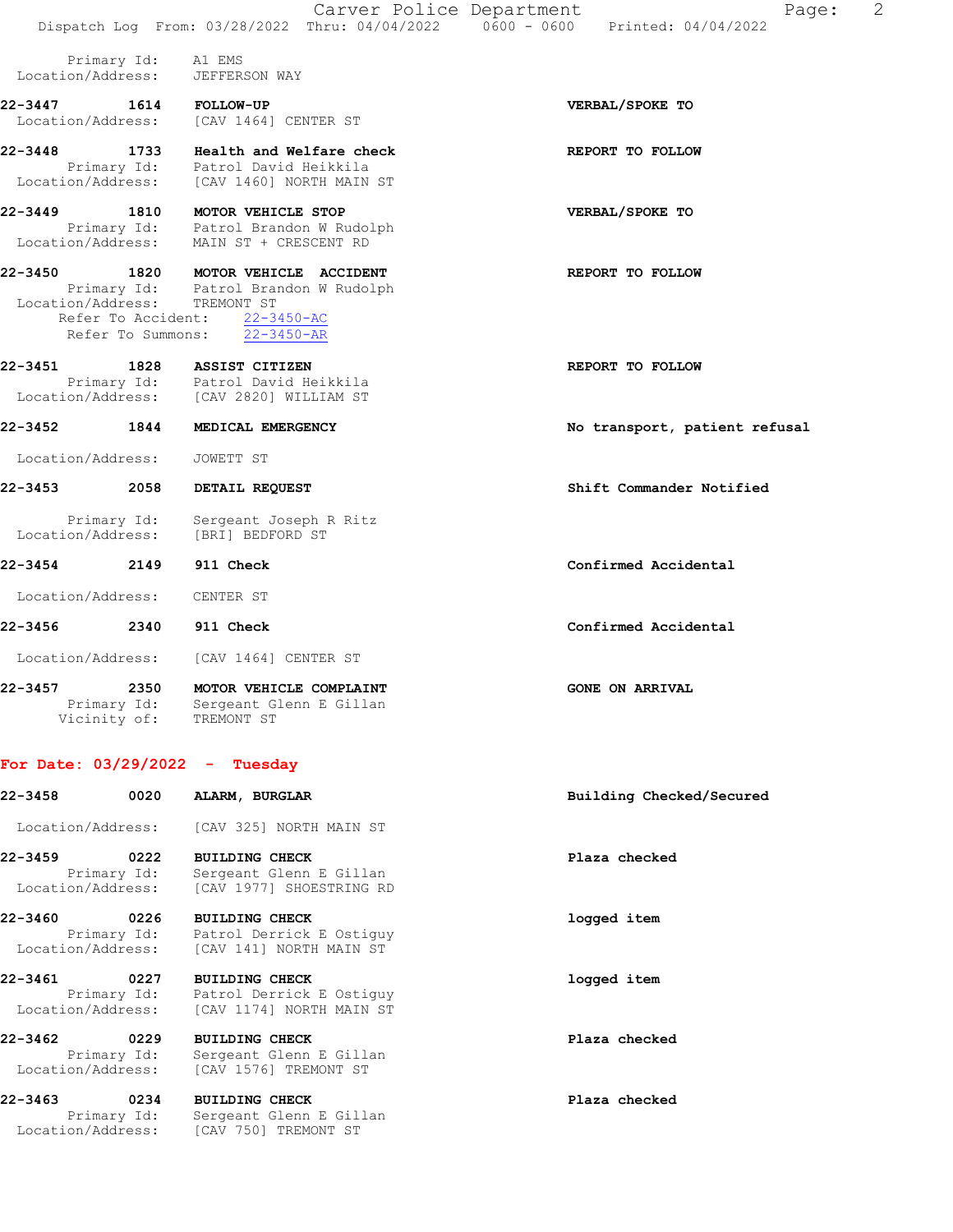|                              |                                                 |                                                                                                                                        | 2<br>Carver Police Department<br>Page:<br>Dispatch Log From: 03/28/2022 Thru: 04/04/2022   0600 - 0600   Printed: 04/04/2022 |
|------------------------------|-------------------------------------------------|----------------------------------------------------------------------------------------------------------------------------------------|------------------------------------------------------------------------------------------------------------------------------|
| Location/Address:            | Primary Id:                                     | A1 EMS<br>JEFFERSON WAY                                                                                                                |                                                                                                                              |
| 22-3447<br>Location/Address: | 1614                                            | <b>FOLLOW-UP</b><br>[CAV 1464] CENTER ST                                                                                               | VERBAL/SPOKE TO                                                                                                              |
| 22-3448                      | 1733                                            | Health and Welfare check<br>Primary Id: Patrol David Heikkila<br>Location/Address: [CAV 1460] NORTH MAIN ST                            | REPORT TO FOLLOW                                                                                                             |
| $22 - 3449$                  |                                                 | 1810 MOTOR VEHICLE STOP<br>Primary Id: Patrol Brandon W Rudolph<br>Location/Address: MAIN ST + CRESCENT RD                             | VERBAL/SPOKE TO                                                                                                              |
| 22-3450                      | 1820<br>Refer To Accident:<br>Refer To Summons: | MOTOR VEHICLE ACCIDENT<br>Primary Id: Patrol Brandon W Rudolph<br>Location/Address: TREMONT ST<br>$22 - 3450 - AC$<br>$22 - 3450 - AR$ | REPORT TO FOLLOW                                                                                                             |
| 22-3451                      | 1828                                            | ASSIST CITIZEN<br>Primary Id: Patrol David Heikkila<br>Location/Address: [CAV 2820] WILLIAM ST                                         | REPORT TO FOLLOW                                                                                                             |
| 22-3452                      | 1844                                            | MEDICAL EMERGENCY                                                                                                                      | No transport, patient refusal                                                                                                |
| Location/Address:            |                                                 | JOWETT ST                                                                                                                              |                                                                                                                              |
| 22-3453                      | 2058                                            | DETAIL REQUEST                                                                                                                         | Shift Commander Notified                                                                                                     |
| Location/Address:            | Primary Id:                                     | Sergeant Joseph R Ritz<br>[BRI] BEDFORD ST                                                                                             |                                                                                                                              |
| 22-3454                      | 2149                                            | 911 Check                                                                                                                              | Confirmed Accidental                                                                                                         |
| Location/Address:            |                                                 | CENTER ST                                                                                                                              |                                                                                                                              |
| 22-3456                      | 2340                                            | 911 Check                                                                                                                              | Confirmed Accidental                                                                                                         |
| Location/Address:            |                                                 | [CAV 1464] CENTER ST                                                                                                                   |                                                                                                                              |
| $22 - 3457$                  | 2350<br>Primary Id:<br>Vicinity of:             | MOTOR VEHICLE COMPLAINT<br>Sergeant Glenn E Gillan<br>TREMONT ST                                                                       | <b>GONE ON ARRIVAL</b>                                                                                                       |
|                              |                                                 | For Date: $03/29/2022 - Tuesday$                                                                                                       |                                                                                                                              |
| 22-3458                      | 0020                                            | ALARM, BURGLAR                                                                                                                         | Building Checked/Secured                                                                                                     |

Location/Address: [CAV 325] NORTH MAIN ST

22-3459 0222 BUILDING CHECK Plaza checked Primary Id: Sergeant Glenn E Gillan Location/Address: [CAV 1977] SHOESTRING RD

22-3460 0226 BUILDING CHECK logged item Primary Id: Patrol Derrick E Ostiguy Location/Address: [CAV 141] NORTH MAIN ST

22-3461 0227 BUILDING CHECK logged item Primary Id: Patrol Derrick E Ostiguy Location/Address: [CAV 1174] NORTH MAIN ST

22-3462 0229 BUILDING CHECK Plaza checked Primary Id: Sergeant Glenn E Gillan Location/Address: [CAV 1576] TREMONT ST

22-3463 0234 BUILDING CHECK Plaza checked Primary Id: Sergeant Glenn E Gillan Location/Address: [CAV 750] TREMONT ST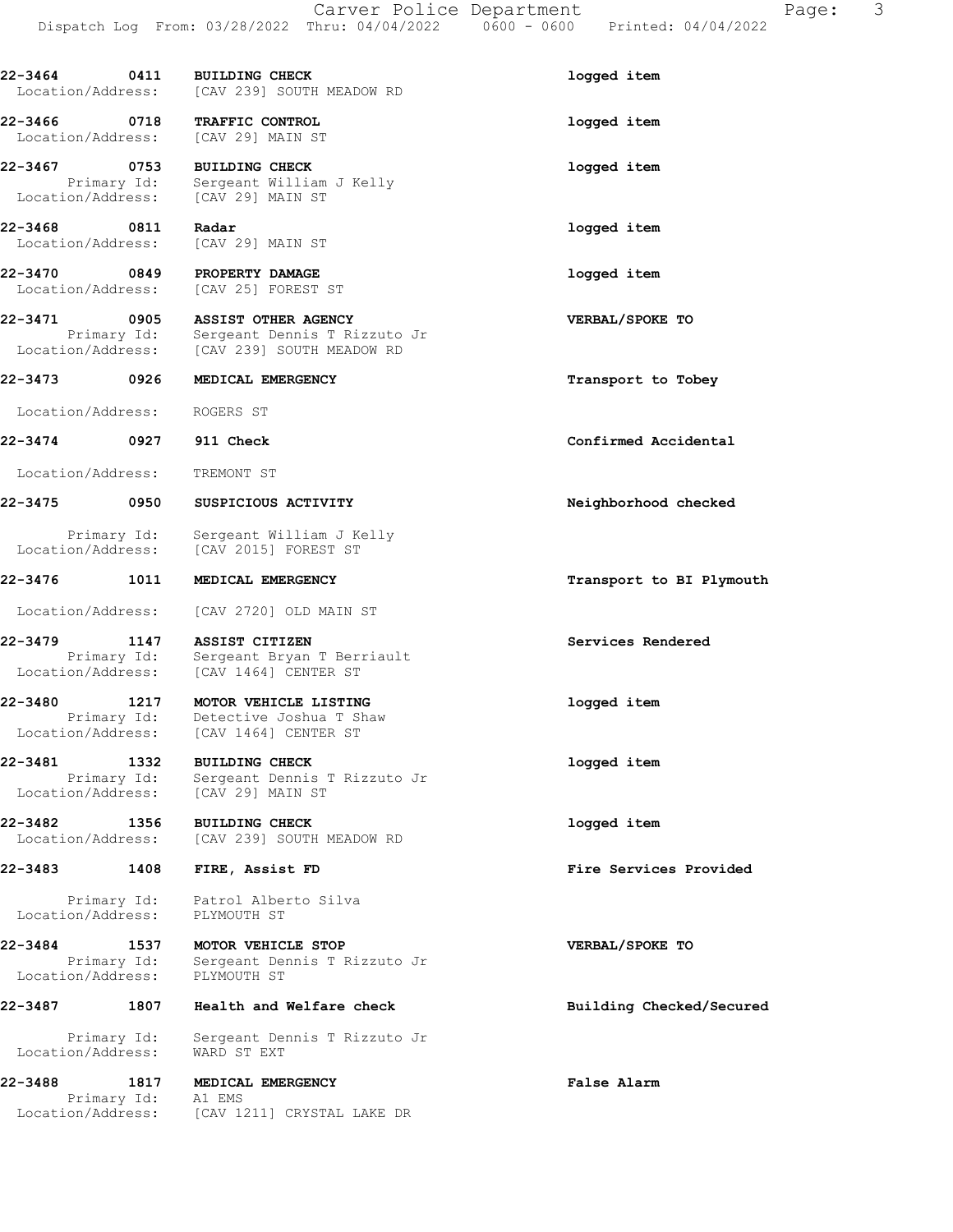22-3464 0411 BUILDING CHECK logged item Location/Address: [CAV 239] SOUTH MEADOW RD 22-3466 0718 TRAFFIC CONTROL logged item Location/Address: [CAV 29] MAIN ST 22-3467 0753 BUILDING CHECK logged item Primary Id: Sergeant William J Kelly Location/Address: [CAV 29] MAIN ST 22-3468 0811 Radar **logged** item Location/Address: [CAV 29] MAIN ST 22-3470 0849 PROPERTY DAMAGE **1200** 10gged item Location/Address: [CAV 25] FOREST ST 22-3471 0905 ASSIST OTHER AGENCY VERBAL/SPOKE TO Primary Id: Sergeant Dennis T Rizzuto Jr Location/Address: [CAV 239] SOUTH MEADOW RD 22-3473 0926 MEDICAL EMERGENCY **1200 CONTACT 1200 MEDICAL** EMERGENCY Location/Address: ROGERS ST 22-3474 0927 911 Check Confirmed Accidental Location/Address: TREMONT ST 22-3475 0950 SUSPICIOUS ACTIVITY Neighborhood checked Primary Id: Sergeant William J Kelly<br>Location/Address: [CAV 2015] FOREST ST [CAV 2015] FOREST ST 22-3476 1011 MEDICAL EMERGENCY **1200 1200 1200 1200 1200 1200 1200** Transport to BI Plymouth Location/Address: [CAV 2720] OLD MAIN ST 22-3479 1147 ASSIST CITIZEN Services Rendered Primary Id: Sergeant Bryan T Berriault Location/Address: [CAV 1464] CENTER ST 22-3480 1217 MOTOR VEHICLE LISTING 1210 1099ed item Primary Id: Detective Joshua T Shaw Location/Address: [CAV 1464] CENTER ST 22-3481 1332 BUILDING CHECK logged item Primary Id: Sergeant Dennis T Rizzuto Jr Location/Address: [CAV 29] MAIN ST 22-3482 1356 BUILDING CHECK logged item Location/Address: [CAV 239] SOUTH MEADOW RD 22-3483 1408 FIRE, Assist FD Fire Services Provided

 Primary Id: Patrol Alberto Silva Location/Address: PLYMOUTH ST

22-3484 1537 MOTOR VEHICLE STOP VERBAL/SPOKE TO Primary Id: Sergeant Dennis T Rizzuto Jr Location/Address: PLYMOUTH ST

#### 22-3487 1807 Health and Welfare check Building Checked/Secured

 Primary Id: Sergeant Dennis T Rizzuto Jr Location/Address: WARD ST EXT

22-3488 1817 MEDICAL EMERGENCY False Alarm Primary Id: A1 EMS Location/Address: [CAV 1211] CRYSTAL LAKE DR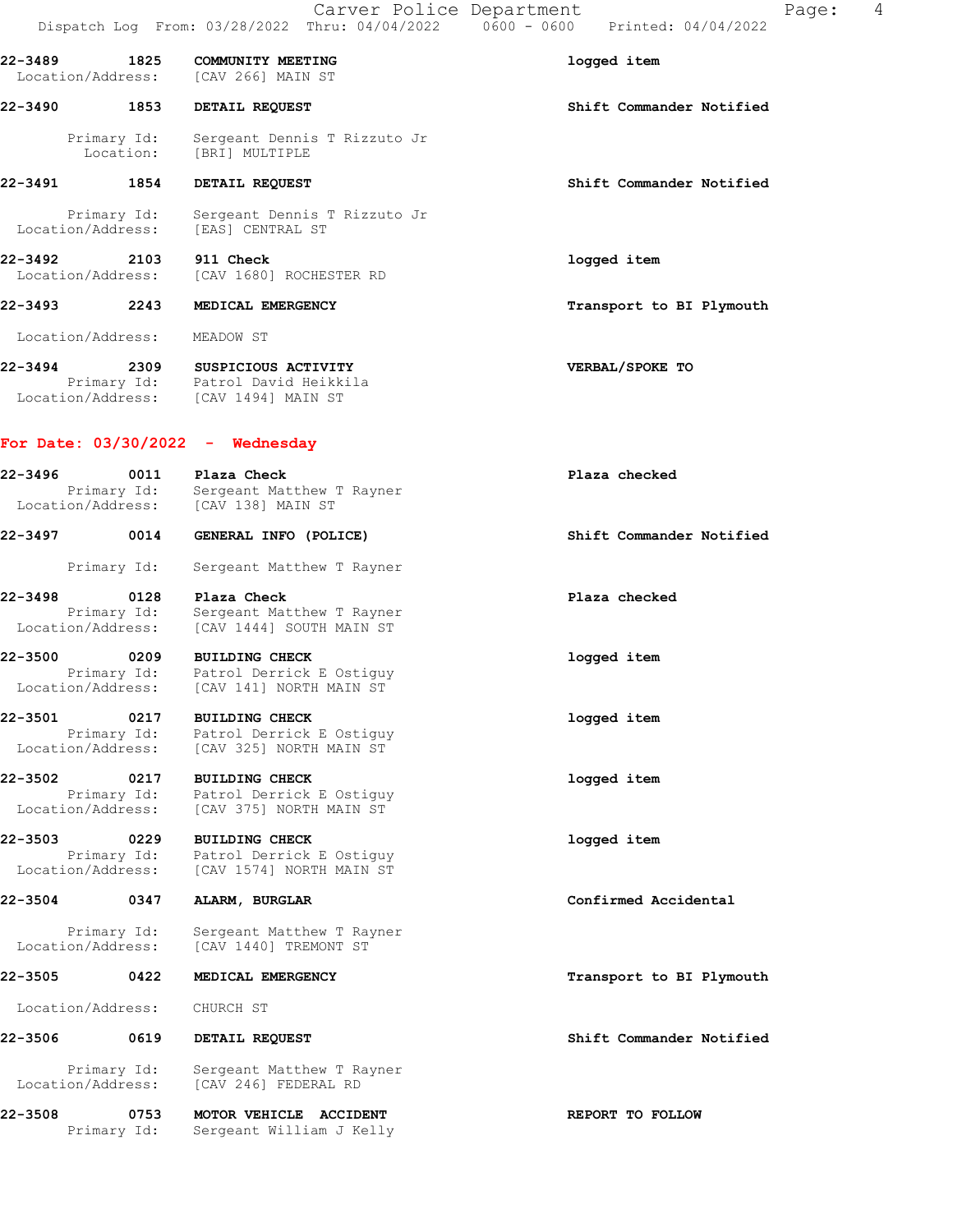| $22 - 3489$<br>Location/Address:  | 1825                | COMMUNITY MEETING<br>[CAV 266] MAIN ST                                                                | logged item              |
|-----------------------------------|---------------------|-------------------------------------------------------------------------------------------------------|--------------------------|
| 22-3490                           | 1853                | DETAIL REQUEST                                                                                        | Shift Commander Notified |
|                                   |                     | Primary Id: Sergeant Denni:<br>Location: [BRI] MULTIPLE<br>Sergeant Dennis T Rizzuto Jr               |                          |
| 22-3491 1854                      |                     | DETAIL REQUEST                                                                                        | Shift Commander Notified |
| Location/Address:                 | Primary Id:         | Sergeant Dennis T Rizzuto Jr<br>[EAS] CENTRAL ST                                                      |                          |
| 22-3492 2103<br>Location/Address: |                     | 911 Check<br>[CAV 1680] ROCHESTER RD                                                                  | logged item              |
| 22–3493 2243                      |                     | MEDICAL EMERGENCY                                                                                     | Transport to BI Plymouth |
| Location/Address:                 |                     | MEADOW ST                                                                                             |                          |
| 22-3494                           |                     | 2309 SUSPICIOUS ACTIVITY<br>Primary Id: Patrol David Heikkila<br>Location/Address: [CAV 1494] MAIN ST | VERBAL/SPOKE TO          |
|                                   |                     | For Date: $03/30/2022 -$ Wednesday                                                                    |                          |
| 22-3496                           |                     | 5 0011 Plaza Check<br>Primary Id: Sergeant Matthew T Rayner<br>Location/Address: [CAV 138] MAIN ST    | Plaza checked            |
| 22-3497 0014                      |                     | GENERAL INFO (POLICE)                                                                                 | Shift Commander Notified |
|                                   | Primary Id:         | Sergeant Matthew T Rayner                                                                             |                          |
| 22-3498<br>Location/Address:      | 0128<br>Primary Id: | Plaza Check<br>Sergeant Matthew T Rayner<br>[CAV 1444] SOUTH MAIN ST                                  | Plaza checked            |
| 22-3500 0209<br>Location/Address: | Primary Id:         | <b>BUILDING CHECK</b><br>Patrol Derrick E Ostiguy<br>[CAV 141] NORTH MAIN ST                          | logged item              |
| 22-3501                           | Primary Id:         | 0217 BUILDING CHECK<br>Patrol Derrick E Ostiguy                                                       | logged item              |
|                                   |                     | Location/Address: [CAV 325] NORTH MAIN ST                                                             |                          |
| 22-3502<br>Location/Address:      | 0217<br>Primary Id: | <b>BUILDING CHECK</b><br>Patrol Derrick E Ostiquy<br>[CAV 375] NORTH MAIN ST                          | logged item              |
| 22-3503 0229                      | Primary Id:         | <b>BUILDING CHECK</b><br>Patrol Derrick E Ostiguy<br>Location/Address: [CAV 1574] NORTH MAIN ST       | logged item              |
| 22-3504                           | 0347                | ALARM, BURGLAR                                                                                        | Confirmed Accidental     |
| Location/Address:                 | Primary Id:         | Sergeant Matthew T Rayner<br>[CAV 1440] TREMONT ST                                                    |                          |
| 22-3505                           | 0422                | MEDICAL EMERGENCY                                                                                     | Transport to BI Plymouth |
| Location/Address:                 |                     | CHURCH ST                                                                                             |                          |
| 22-3506 0619                      |                     | DETAIL REQUEST                                                                                        | Shift Commander Notified |
| Location/Address:                 | Primary Id:         | Sergeant Matthew T Rayner<br>[CAV 246] FEDERAL RD                                                     |                          |
| 22-3508                           | 0753                | MOTOR VEHICLE ACCIDENT                                                                                | REPORT TO FOLLOW         |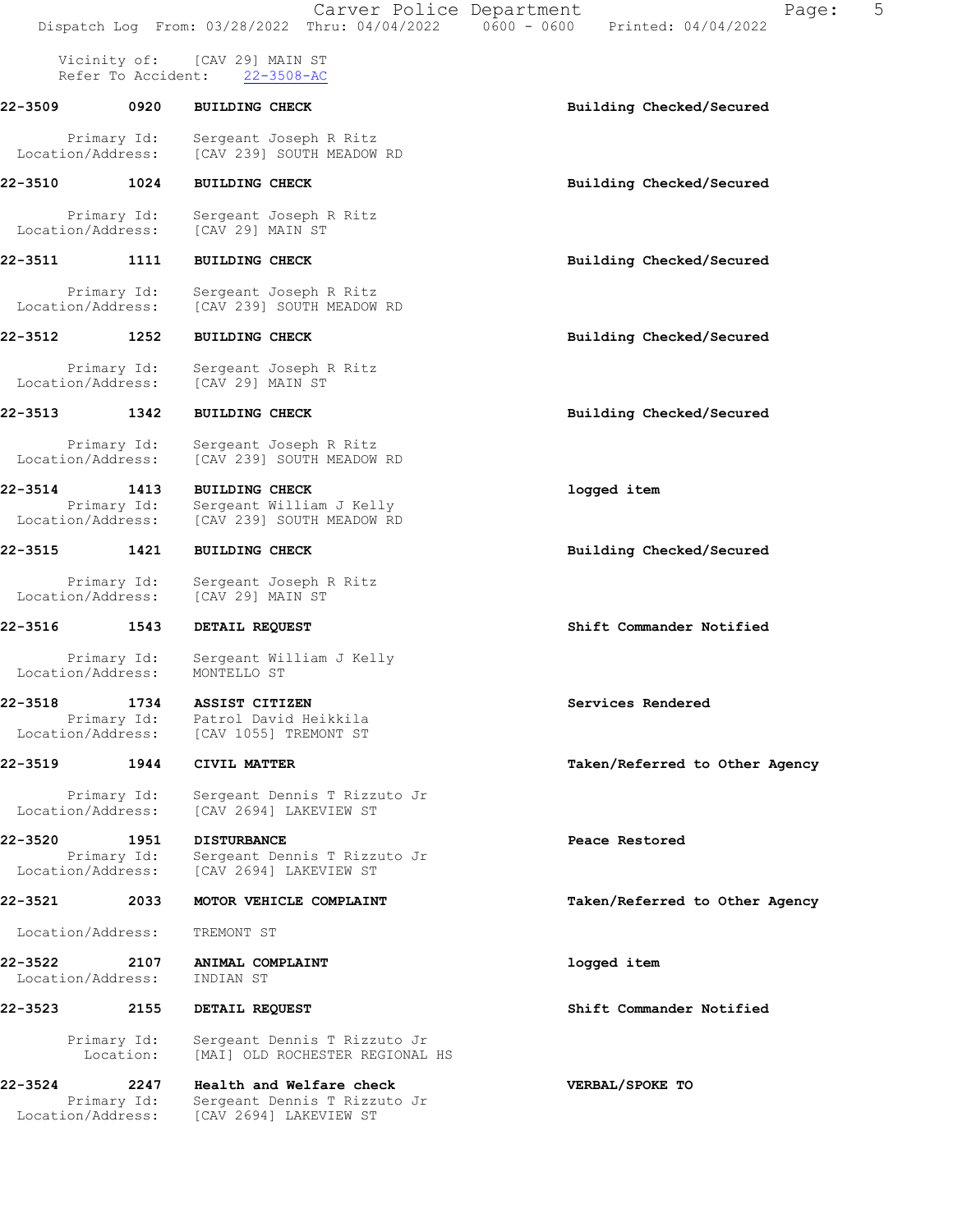Vicinity of: [CAV 29] MAIN ST Refer To Accident: 22-3508-AC

- 22-3509 0920 BUILDING CHECK Building Checked/Secured Primary Id: Sergeant Joseph R Ritz Location/Address: [CAV 239] SOUTH MEADOW RD 22-3510 1024 BUILDING CHECK Building Checked/Secured
- Primary Id: Sergeant Joseph R Ritz<br>Location/Address: [CAV 29] MAIN ST [CAV 29] MAIN ST
- 22-3511 1111 BUILDING CHECK Building Checked/Secured
	- Primary Id: Sergeant Joseph R Ritz Location/Address: [CAV 239] SOUTH MEADOW RD
- 22-3512 1252 BUILDING CHECK Building Checked/Secured
- Primary Id: Sergeant Joseph R Ritz<br>ion/Address: [CAV 29] MAIN ST Location/Address:
- 22-3513 1342 BUILDING CHECK Building Checked/Secured
	- Primary Id: Sergeant Joseph R Ritz Location/Address: [CAV 239] SOUTH MEADOW RD
- 22-3514 1413 BUILDING CHECK logged item Primary Id: Sergeant William J Kelly Location/Address: [CAV 239] SOUTH MEADOW RD
- 22-3515 1421 BUILDING CHECK Building Checked/Secured
- Primary Id: Sergeant Joseph R Ritz<br>ion/Address: [CAV 29] MAIN ST Location/Address:
- 22-3516 1543 DETAIL REQUEST Shift Commander Notified
	- Primary Id: Sergeant William J Kelly<br>ion/Address: MONTELLO ST Location/Address:
- 22-3518 1734 ASSIST CITIZEN Services Rendered Primary Id: Patrol David Heikkila Location/Address: [CAV 1055] TREMONT ST
- 22-3519 1944 CIVIL MATTER Taken/Referred to Other Agency
- Primary Id: Sergeant Dennis T Rizzuto Jr<br>Location/Address: [CAV 2694] LAKEVIEW ST [CAV 2694] LAKEVIEW ST
- 22-3520 1951 DISTURBANCE Peace Restored Primary Id: Sergeant Dennis T Rizzuto Jr<br>Location/Address: [CAV 2694] LAKEVIEW ST [CAV 2694] LAKEVIEW ST
- 22-3521 2033 MOTOR VEHICLE COMPLAINT Taken/Referred to Other Agency
- Location/Address: TREMONT ST
- 22-3522 2107 ANIMAL COMPLAINT logged item Location/Address: INDIAN ST
- 22-3523 2155 DETAIL REQUEST Shift Commander Notified
	- Primary Id: Sergeant Dennis T Rizzuto Jr Location: [MAI] OLD ROCHESTER REGIONAL HS
- 22-3524 2247 Health and Welfare check VERBAL/SPOKE TO Primary Id: Sergeant Dennis T Rizzuto Jr Location/Address: [CAV 2694] LAKEVIEW ST

- 
- 
- 
- 
- 
- 
- 
- 
- 
-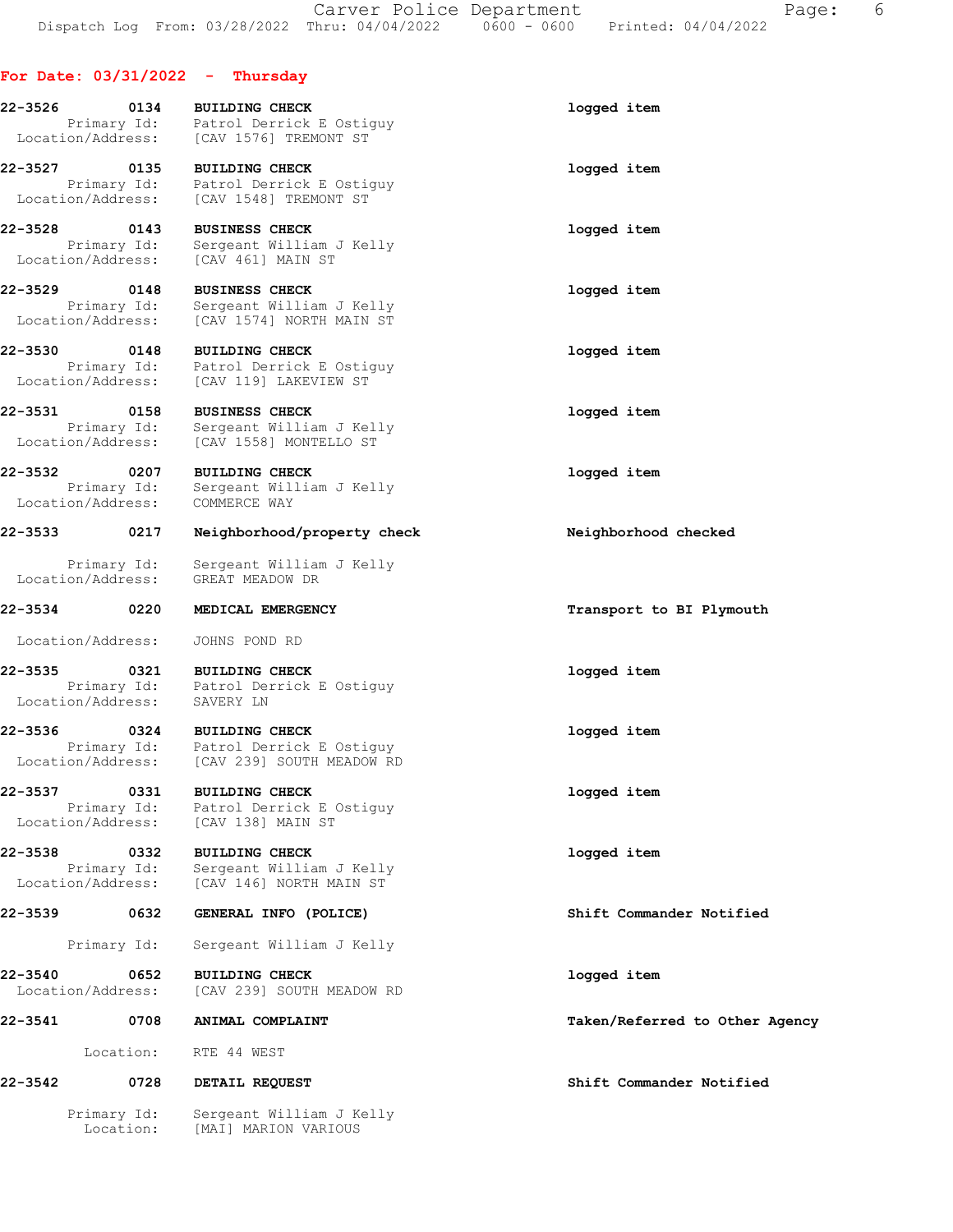# For Date: 03/31/2022 - Thursday

| 22-3526                                     | 0134                     | <b>BUILDING CHECK</b><br>Primary Id: Patrol Derrick E Ostiguy<br>Location/Address: [CAV 1576] TREMONT ST                             | logged item                    |
|---------------------------------------------|--------------------------|--------------------------------------------------------------------------------------------------------------------------------------|--------------------------------|
| $22 - 3527$                                 | 0135                     | <b>BUILDING CHECK</b><br>Primary Id: Patrol Derrick E Ostiguy<br>Location/Address: [CAV 1548] TREMONT ST                             | logged item                    |
| 22-3528                                     | 0143                     | <b>BUSINESS CHECK</b>                                                                                                                | logged item                    |
| Location/Address:                           | Primary Id:              | Sergeant William J Kelly<br>[CAV 461] MAIN ST                                                                                        |                                |
| 22-3529<br>Primary Id:<br>Location/Address: | 0148                     | <b>BUSINESS CHECK</b><br>Sergeant William J Kelly<br>[CAV 1574] NORTH MAIN ST                                                        | logged item                    |
| 22-3530 0148                                |                          | <b>BUILDING CHECK</b><br>Primary Id: Patrol Derrick E Ostiguy<br>Location/Address: [CAV 119] LAKEVIEW ST                             | logged item                    |
| 22-3531                                     | 0158                     | <b>BUSINESS CHECK</b><br>Primary Id: Sergeant William J Kel.<br>Location/Address: [CAV 1558] MONTELLO ST<br>Sergeant William J Kelly | logged item                    |
| 22-3532<br>Location/Address:                | 0207<br>Primary Id:      | <b>BUILDING CHECK</b><br>Sergeant William J Kelly<br>COMMERCE WAY                                                                    | logged item                    |
| 22-3533                                     | 0217                     | Neighborhood/property check                                                                                                          | Neighborhood checked           |
| Location/Address:                           | Primary Id:              | Sergeant William J Kelly<br>GREAT MEADOW DR                                                                                          |                                |
| 22-3534 0220                                |                          | MEDICAL EMERGENCY                                                                                                                    | Transport to BI Plymouth       |
| Location/Address:                           |                          | JOHNS POND RD                                                                                                                        |                                |
| Location/Address:                           |                          | 22-3535 0321 BUILDING CHECK<br>Primary Id: Patrol Derrick E Ostiguy<br>SAVERY LN                                                     | logged item                    |
| 22-3536                                     | 0324                     | <b>BUILDING CHECK</b><br>Primary Id: Patrol Derrick E Ostiguy<br>Location/Address: [CAV 239] SOUTH MEADOW RD                         | logged item                    |
| 22-3537<br>Location/Address:                | 0331<br>Primary Id:      | <b>BUILDING CHECK</b><br>Patrol Derrick E Ostiguy<br>[CAV 138] MAIN ST                                                               | logged item                    |
| 22-3538<br>Location/Address:                | 0332<br>Primary Id:      | <b>BUILDING CHECK</b><br>Sergeant William J Kelly<br>[CAV 146] NORTH MAIN ST                                                         | logged item                    |
| 22-3539                                     | 0632                     | GENERAL INFO (POLICE)                                                                                                                | Shift Commander Notified       |
|                                             | Primary Id:              | Sergeant William J Kelly                                                                                                             |                                |
| 22-3540<br>Location/Address:                | 0652                     | <b>BUILDING CHECK</b><br>[CAV 239] SOUTH MEADOW RD                                                                                   | logged item                    |
| 22-3541                                     | 0708                     | ANIMAL COMPLAINT                                                                                                                     | Taken/Referred to Other Agency |
|                                             | Location:                | RTE 44 WEST                                                                                                                          |                                |
| 22-3542                                     | 0728                     | DETAIL REQUEST                                                                                                                       | Shift Commander Notified       |
|                                             | Primary Id:<br>Location: | Sergeant William J Kelly<br>[MAI] MARION VARIOUS                                                                                     |                                |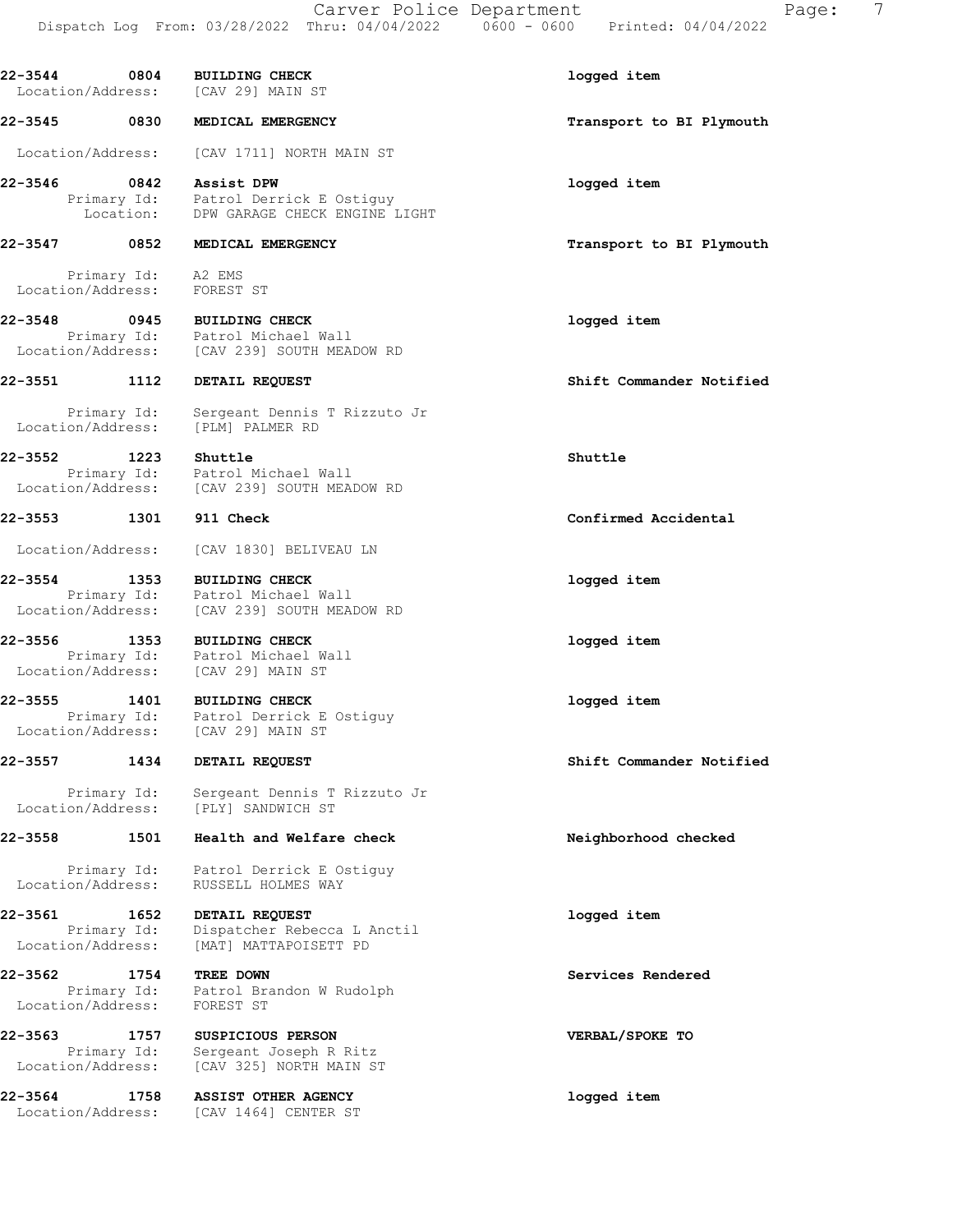22-3544 0804 BUILDING CHECK logged item Location/Address: [CAV 29] MAIN ST 22-3545 0830 MEDICAL EMERGENCY **1200 CONTACT 1200 MEDICAL** EMERGENCY Location/Address: [CAV 1711] NORTH MAIN ST 22-3546 0842 Assist DPW logged item Primary Id: Patrol Derrick E Ostiguy Location: DPW GARAGE CHECK ENGINE LIGHT 22-3547 0852 MEDICAL EMERGENCY Transport to BI Plymouth Primary Id: A2 EMS Location/Address: FOREST ST 22-3548 0945 BUILDING CHECK logged item Primary Id: Patrol Michael Wall Location/Address: [CAV 239] SOUTH MEADOW RD 22-3551 1112 DETAIL REQUEST Shift Commander Notified Primary Id: Sergeant Dennis T Rizzuto Jr Location/Address: [PLM] PALMER RD 22-3552 1223 Shuttle Shuttle Primary Id: Patrol Michael Wall Location/Address: [CAV 239] SOUTH MEADOW RD 22-3553 1301 911 Check Confirmed Accidental Location/Address: [CAV 1830] BELIVEAU LN 22-3554 1353 BUILDING CHECK logged item Primary Id: Patrol Michael Wall Location/Address: [CAV 239] SOUTH MEADOW RD 22-3556 1353 BUILDING CHECK logged item Primary Id: Patrol Michael Wall Location/Address: [CAV 29] MAIN ST 22-3555 1401 BUILDING CHECK logged item Primary Id: Patrol Derrick E Ostiguy Location/Address: [CAV 29] MAIN ST 22-3557 1434 DETAIL REQUEST Shift Commander Notified Primary Id: Sergeant Dennis T Rizzuto Jr Location/Address: [PLY] SANDWICH ST 22-3558 1501 Health and Welfare check Neighborhood checked Primary Id: Patrol Derrick E Ostiguy Location/Address: RUSSELL HOLMES WAY 22-3561 1652 DETAIL REQUEST logged item Primary Id: Dispatcher Rebecca L Anctil Location/Address: [MAT] MATTAPOISETT PD 22-3562 1754 TREE DOWN Services Rendered Primary Id: Patrol Brandon W Rudolph Location/Address: FOREST ST 22-3563 1757 SUSPICIOUS PERSON VERBAL/SPOKE TO Primary Id: Sergeant Joseph R Ritz Location/Address: [CAV 325] NORTH MAIN ST 22-3564 1758 ASSIST OTHER AGENCY logged item Location/Address: [CAV 1464] CENTER ST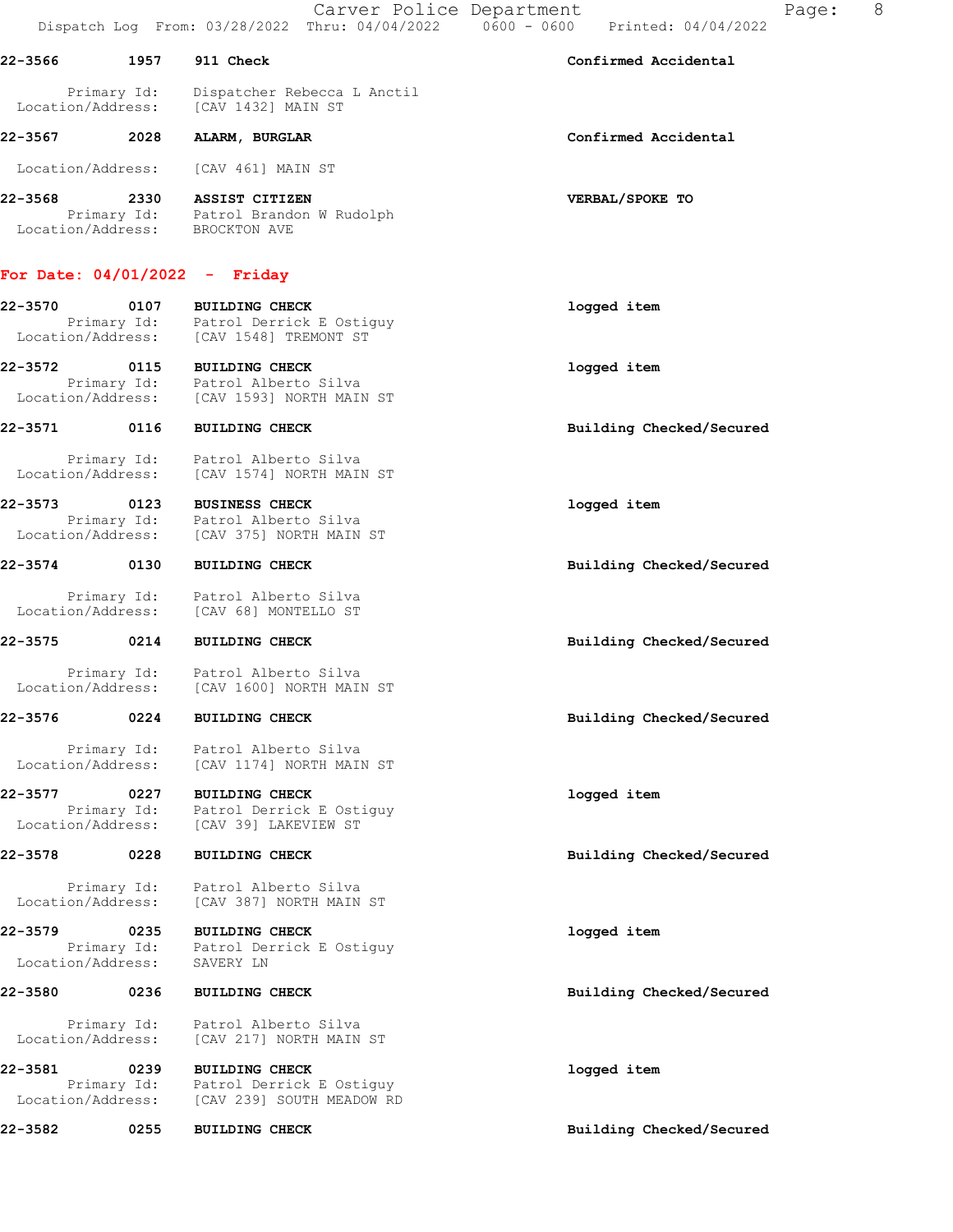Carver Police Department Fage: 8 Dispatch Log From: 03/28/2022 Thru: 04/04/2022 0600 - 0600 Printed: 04/04/2022

| 22-3566 | 1957 | 911 Check | Confirmed Accidental |
|---------|------|-----------|----------------------|

 Primary Id: Dispatcher Rebecca L Anctil Location/Address: [CAV 1432] MAIN ST

## 22-3567 2028 ALARM, BURGLAR Confirmed Accidental

Location/Address: [CAV 461] MAIN ST

22-3568 2330 ASSIST CITIZEN VERBAL/SPOKE TO Primary Id: Patrol Brandon W Rudolph Location/Address: BROCKTON AVE

# For Date: 04/01/2022 - Friday

22-3570 0107 BUILDING CHECK logged item Primary Id: Patrol Derrick E Ostiguy Location/Address: [CAV 1548] TREMONT ST

22-3572 0115 BUILDING CHECK logged item Primary Id: Patrol Alberto Silva Location/Address: [CAV 1593] NORTH MAIN ST

22-3571 0116 BUILDING CHECK Building Checked/Secured

 Primary Id: Patrol Alberto Silva Location/Address: [CAV 1574] NORTH MAIN ST

22-3573 0123 BUSINESS CHECK logged item Primary Id: Patrol Alberto Silva Location/Address: [CAV 375] NORTH MAIN ST

 Primary Id: Patrol Alberto Silva Location/Address: [CAV 68] MONTELLO ST

Primary Id: Patrol Alberto Silva<br>Location/Address: [CAV 1600] NORTH MAIN [CAV 1600] NORTH MAIN ST

#### 22-3576 0224 BUILDING CHECK Building Checked/Secured

 Primary Id: Patrol Alberto Silva Location/Address: [CAV 1174] NORTH MAIN ST

22-3577 0227 BUILDING CHECK logged item Primary Id: Patrol Derrick E Ostiguy Location/Address: [CAV 39] LAKEVIEW ST

#### 22-3578 0228 BUILDING CHECK Building Checked/Secured

 Primary Id: Patrol Alberto Silva Location/Address: [CAV 387] NORTH MAIN ST

#### 22-3579 0235 BUILDING CHECK logged item Primary Id: Patrol Derrick E Ostiguy Location/Address: SAVERY LN

22-3580 0236 BUILDING CHECK Building Checked/Secured

 Primary Id: Patrol Alberto Silva Location/Address: [CAV 217] NORTH MAIN ST

22-3581 0239 BUILDING CHECK logged item Primary Id: Patrol Derrick E Ostiguy Location/Address: [CAV 239] SOUTH MEADOW RD

22-3582 0255 BUILDING CHECK Building Checked/Secured

22-3574 0130 BUILDING CHECK Building Checked/Secured

22-3575 0214 BUILDING CHECK Building Checked/Secured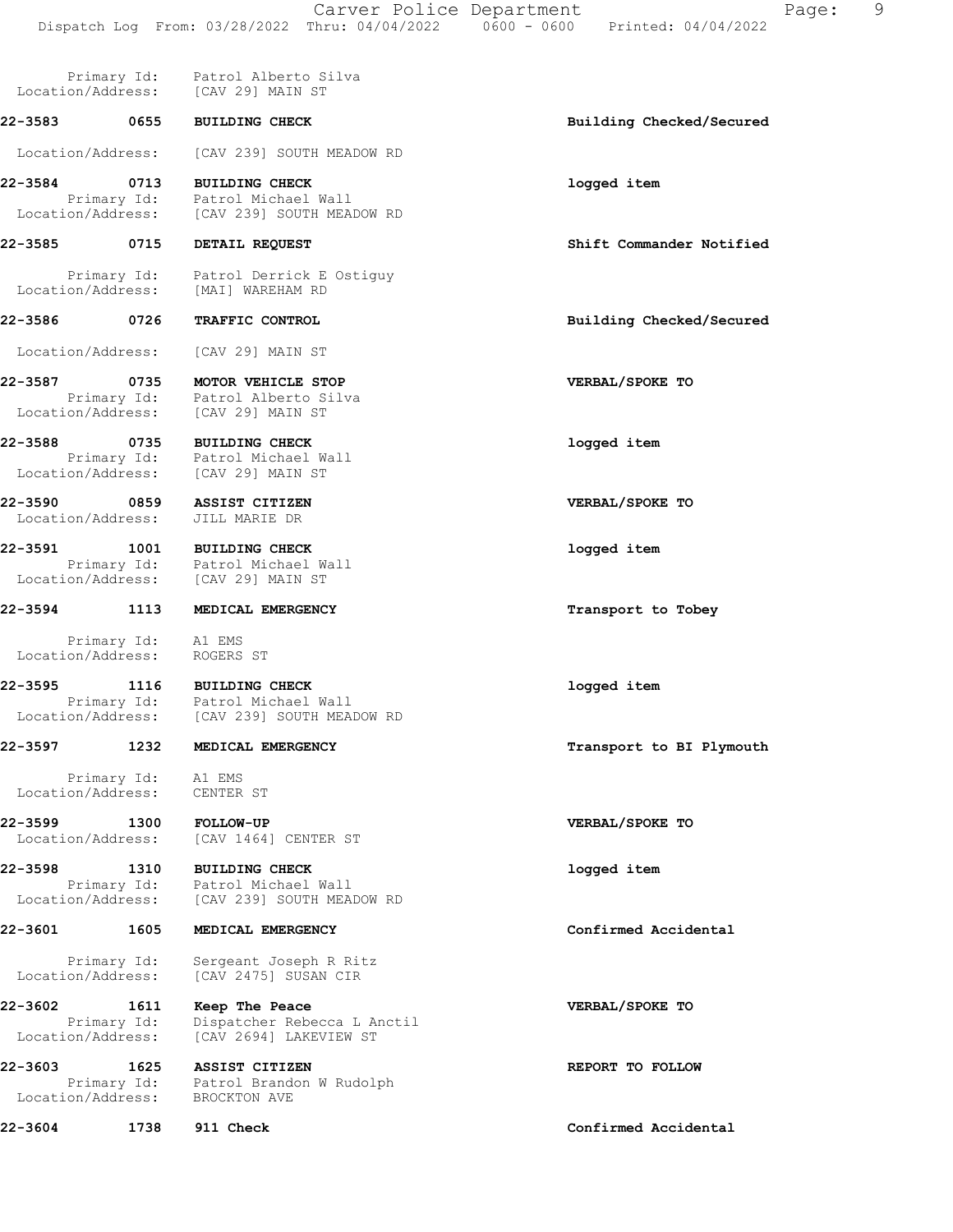|                                                   |                     | Primary Id: Patrol Alberto Silva<br>Location/Address: [CAV 29] MAIN ST                                |                          |
|---------------------------------------------------|---------------------|-------------------------------------------------------------------------------------------------------|--------------------------|
| 22-3583     0655                                  |                     | <b>BUILDING CHECK</b>                                                                                 | Building Checked/Secured |
|                                                   |                     | Location/Address: [CAV 239] SOUTH MEADOW RD                                                           |                          |
| 22-3584                                           | 0713                | <b>BUILDING CHECK</b><br>Primary Id: Patrol Michael Wall                                              | logged item              |
|                                                   |                     | Location/Address: [CAV 239] SOUTH MEADOW RD                                                           |                          |
| 22-3585 0715                                      |                     | <b>DETAIL REQUEST</b>                                                                                 | Shift Commander Notified |
|                                                   |                     | Primary Id: Patrol Derrick E Ostiguy<br>Location/Address: [MAI] WAREHAM RD                            |                          |
| 22-3586 0726                                      |                     | TRAFFIC CONTROL                                                                                       | Building Checked/Secured |
| Location/Address:                                 |                     | [CAV 29] MAIN ST                                                                                      |                          |
| 22-3587                                           | 0735                | MOTOR VEHICLE STOP<br>Primary Id: Patrol Alberto Silva<br>Location/Address: [CAV 29] MAIN ST          | VERBAL/SPOKE TO          |
| 22-3588                                           |                     | 0735 BUILDING CHECK<br>Primary Id: Patrol Michael Wall<br>Location/Address: [CAV 29] MAIN ST          | logged item              |
| Location/Address:                                 |                     | 22-3590 0859 ASSIST CITIZEN<br>JILL MARIE DR                                                          | VERBAL/SPOKE TO          |
|                                                   |                     | 22-3591 1001 BUILDING CHECK<br>Primary Id: Patrol Michael Wall<br>Location/Address: [CAV 29] MAIN ST  | logged item              |
| 22-3594 1113                                      |                     | MEDICAL EMERGENCY                                                                                     | Transport to Tobey       |
| Primary Id: Al EMS<br>Location/Address: ROGERS ST |                     |                                                                                                       |                          |
| 22-3595                                           |                     | 1116 BUILDING CHECK<br>Primary Id: Patrol Michael Wall<br>Location/Address: [CAV 239] SOUTH MEADOW RD | logged item              |
| 22-3597                                           | 1232                | MEDICAL EMERGENCY                                                                                     | Transport to BI Plymouth |
| Location/Address:                                 | Primary Id: A1 EMS  | CENTER ST                                                                                             |                          |
| 22-3599<br>Location/Address:                      | 1300                | <b>FOLLOW-UP</b><br>[CAV 1464] CENTER ST                                                              | VERBAL/SPOKE TO          |
| 22-3598<br>Location/Address:                      | 1310<br>Primary Id: | <b>BUILDING CHECK</b><br>Patrol Michael Wall<br>[CAV 239] SOUTH MEADOW RD                             | logged item              |
| 22-3601                                           | 1605                | MEDICAL EMERGENCY                                                                                     | Confirmed Accidental     |
| Location/Address:                                 | Primary Id:         | Sergeant Joseph R Ritz<br>[CAV 2475] SUSAN CIR                                                        |                          |
| 22-3602<br>Location/Address:                      | 1611                | Keep The Peace<br>Primary Id: Dispatcher Rebecca L Anctil<br>[CAV 2694] LAKEVIEW ST                   | VERBAL/SPOKE TO          |
| 22-3603                                           | 1625<br>Primary Id: | <b>ASSIST CITIZEN</b><br>Patrol Brandon W Rudolph                                                     | REPORT TO FOLLOW         |

Location/Address: BROCKTON AVE

22-3604 1738 911 Check Confirmed Accidental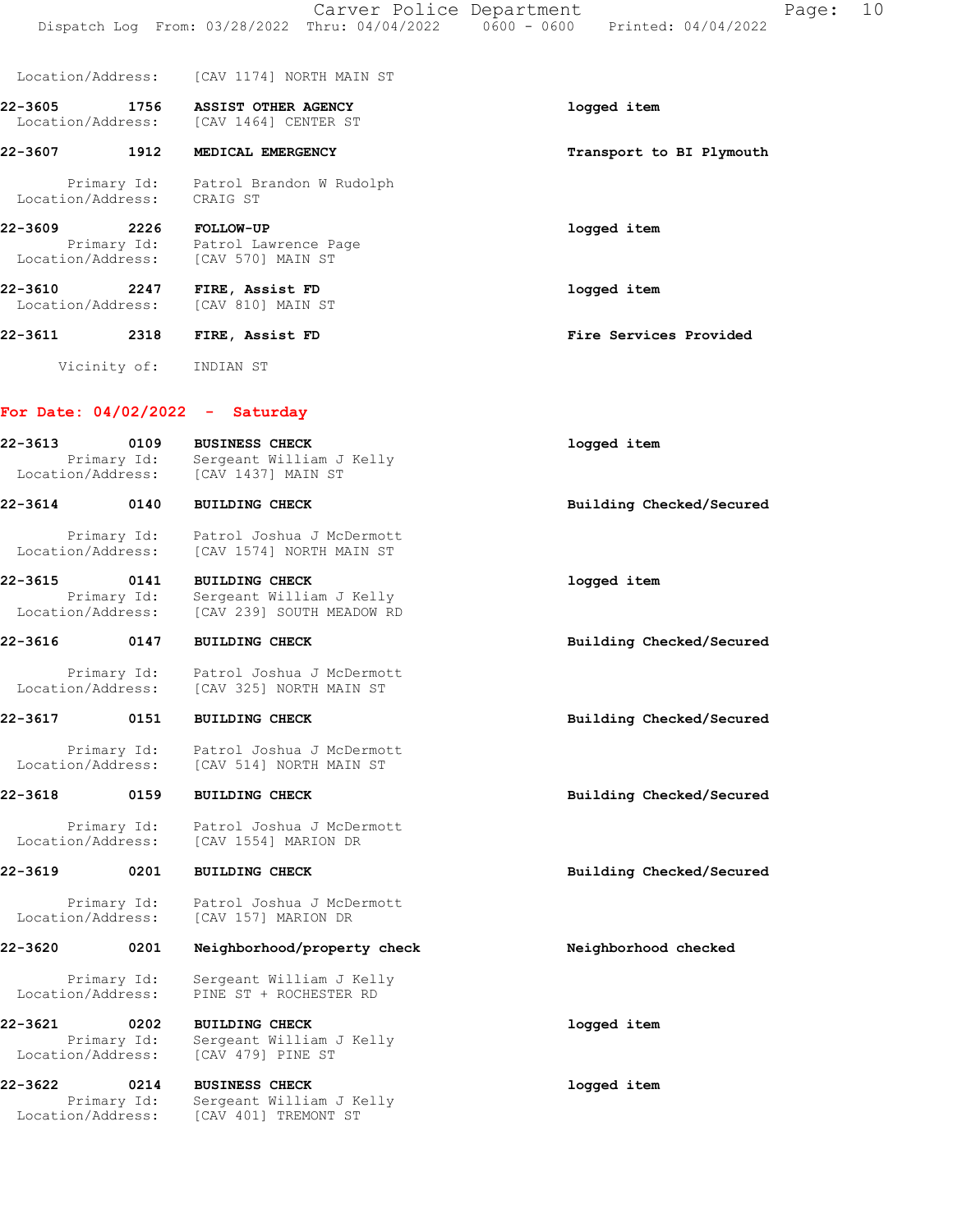|                                      |      | Location/Address: [CAV 1174] NORTH MAIN ST                                                |                          |
|--------------------------------------|------|-------------------------------------------------------------------------------------------|--------------------------|
|                                      |      | 22-3605 1756 ASSIST OTHER AGENCY<br>Location/Address: [CAV 1464] CENTER ST                | logged item              |
| 22-3607                              | 1912 | MEDICAL EMERGENCY                                                                         | Transport to BI Plymouth |
| Location/Address: CRAIG ST           |      | Primary Id: Patrol Brandon W Rudolph                                                      |                          |
| 22-3609                              |      | 2226 FOLLOW-UP<br>Primary Id: Patrol Lawrence Page<br>Location/Address: [CAV 570] MAIN ST | logged item              |
| 22-3610<br>2247<br>Location/Address: |      | FIRE, Assist FD<br>[CAV 810] MAIN ST                                                      | logged item              |
| 22-3611                              | 2318 | FIRE, Assist FD                                                                           | Fire Services Provided   |
|                                      |      | Vicinity of: INDIAN ST                                                                    |                          |
| For Date: $04/02/2022 -$             |      | Saturday                                                                                  |                          |

| 22-3613 | 0109<br>Primary Id:<br>Location/Address: | <b>BUSINESS CHECK</b><br>Sergeant William J Kelly<br>[CAV 1437] MAIN ST | logged item              |
|---------|------------------------------------------|-------------------------------------------------------------------------|--------------------------|
| 22-3614 | 0140                                     | <b>BUILDING CHECK</b>                                                   | Building Checked/Secured |

| Primary Id:       | Patrol Joshua J McDermott |
|-------------------|---------------------------|
| Location/Address: | [CAV 1574] NORTH MAIN ST  |
|                   |                           |

| 22-3615 | 0141              | <b>BUILDING CHECK</b>     | logged item |
|---------|-------------------|---------------------------|-------------|
|         | Primary Id:       | Sergeant William J Kelly  |             |
|         | Location/Address: | [CAV 239] SOUTH MEADOW RD |             |

## 22-3616 0147 BUILDING CHECK Building Checked/Secured

 Primary Id: Patrol Joshua J McDermott Location/Address: [CAV 325] NORTH MAIN ST

### 22-3617 0151 BUILDING CHECK Building Checked/Secured

 Primary Id: Patrol Joshua J McDermott Location/Address: [CAV 514] NORTH MAIN ST

### 22-3618 0159 BUILDING CHECK Building Checked/Secured

 Primary Id: Patrol Joshua J McDermott Location/Address: [CAV 1554] MARION DR

## 22-3619 0201 BUILDING CHECK Building Checked/Secured

Primary Id: Patrol Joshua J McDermott<br>ion/Address: [CAV 157] MARION DR Location/Address:

#### 22-3620 0201 Neighborhood/property check Neighborhood checked

 Primary Id: Sergeant William J Kelly Location/Address: PINE ST + ROCHESTER RD

22-3621 0202 BUILDING CHECK logged item Primary Id: Sergeant William J Kelly Location/Address: [CAV 479] PINE ST

22-3622 0214 BUSINESS CHECK **1** and the logged item Primary Id: Sergeant William J Kelly Location/Address: [CAV 401] TREMONT ST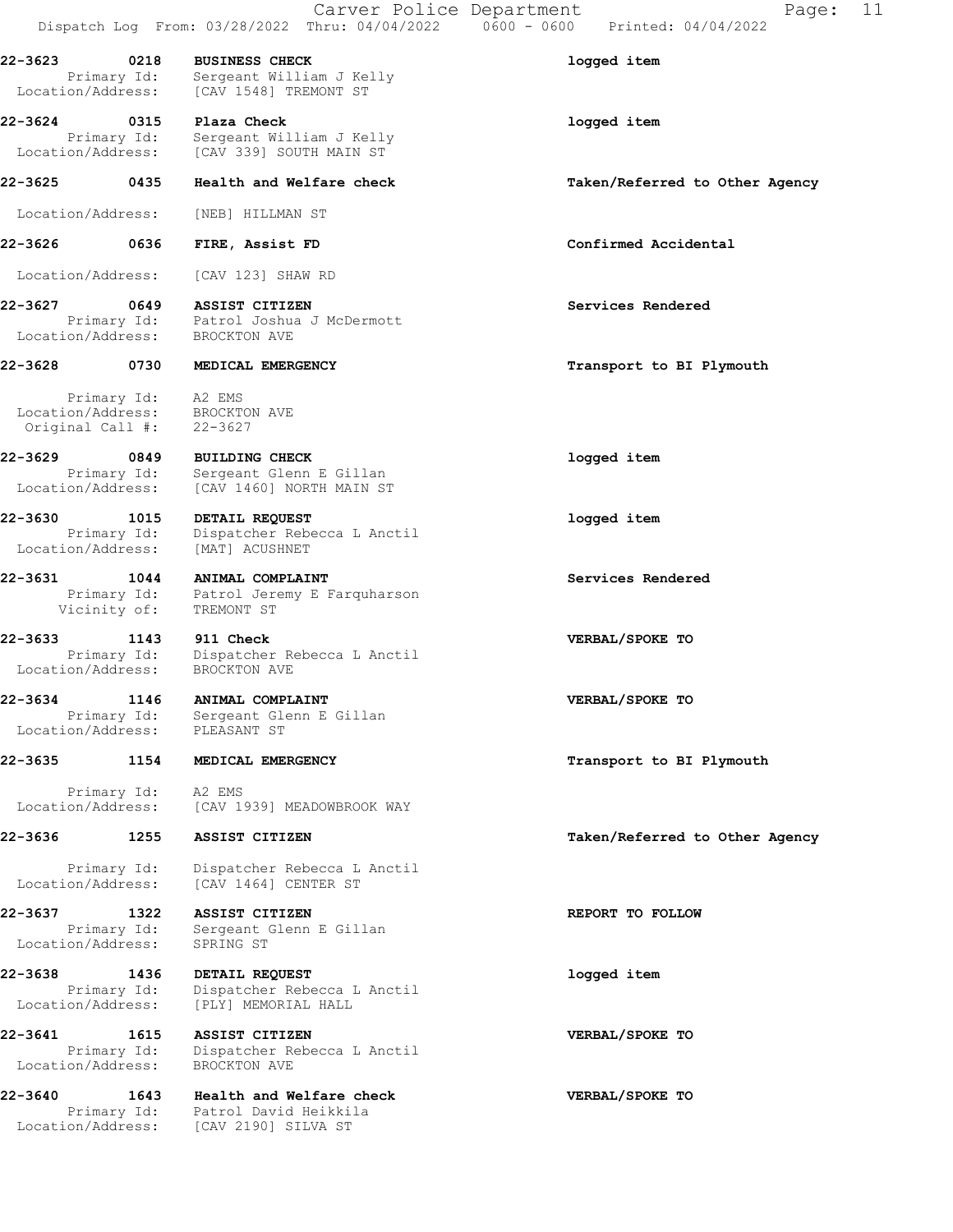| 22-3623                                        | 0218                | <b>BUSINESS CHECK</b><br>Primary Id: Sergeant William J Kelly<br>Location/Address: [CAV 1548] TREMONT ST   | logged item                    |
|------------------------------------------------|---------------------|------------------------------------------------------------------------------------------------------------|--------------------------------|
| 22-3624 0315 Plaza Check                       |                     |                                                                                                            | logged item                    |
|                                                |                     | Primary Id: Sergeant William J Kelly<br>Location/Address: [CAV 339] SOUTH MAIN ST                          |                                |
| 22-3625                                        | 0435                | Health and Welfare check                                                                                   | Taken/Referred to Other Agency |
| Location/Address:                              |                     | [NEB] HILLMAN ST                                                                                           |                                |
| 22-3626 2014                                   | 0636                | FIRE, Assist FD                                                                                            | Confirmed Accidental           |
| Location/Address:                              |                     | [CAV 123] SHAW RD                                                                                          |                                |
| 22-3627 0649                                   |                     | ASSIST CITIZEN<br>Primary Id: Patrol Joshua J McDermott<br>Location/Address: BROCKTON AVE                  | Services Rendered              |
| 22-3628 0730                                   |                     | MEDICAL EMERGENCY                                                                                          | Transport to BI Plymouth       |
| Original Call $\#$ : 22-3627                   |                     | Primary Id: A2 EMS<br>Location/Address: BROCKTON AVE                                                       |                                |
| 22-3629                                        | 0849                | <b>BUILDING CHECK</b><br>Primary Id: Sergeant Glenn E Gillan<br>Location/Address: [CAV 1460] NORTH MAIN ST | logged item                    |
| 22-3630<br>Location/Address:                   | 1015<br>Primary Id: | DETAIL REQUEST<br>Dispatcher Rebecca L Anctil<br>[MAT] ACUSHNET                                            | logged item                    |
| 22-3631 1044<br>Primary Id:<br>Vicinity of:    |                     | ANIMAL COMPLAINT<br>Patrol Jeremy E Farquharson<br>TREMONT ST                                              | Services Rendered              |
| 22-3633 1143<br>Location/Address: BROCKTON AVE |                     | 911 Check<br>Primary Id: Dispatcher Rebecca L Anctil                                                       | VERBAL/SPOKE TO                |
| 22-3634                                        |                     | 1146 ANIMAL COMPLAINT<br>Primary Id: Sergeant Glenn E Gillan<br>Location/Address: PLEASANT ST              | VERBAL/SPOKE TO                |
| 22-3635                                        | 1154                | MEDICAL EMERGENCY                                                                                          | Transport to BI Plymouth       |
| Location/Address:                              | Primary Id:         | A2 EMS<br>[CAV 1939] MEADOWBROOK WAY                                                                       |                                |
| 22-3636 1255                                   |                     | ASSIST CITIZEN                                                                                             | Taken/Referred to Other Agency |
| Primary Id:<br>Location/Address:               |                     | Dispatcher Rebecca L Anctil<br>[CAV 1464] CENTER ST                                                        |                                |
| 22-3637<br>Location/Address:                   | 1322<br>Primary Id: | ASSIST CITIZEN<br>Sergeant Glenn E Gillan<br>SPRING ST                                                     | REPORT TO FOLLOW               |
| 22-3638<br>Primary Id:<br>Location/Address:    | 1436                | DETAIL REQUEST<br>Dispatcher Rebecca L Anctil<br>[PLY] MEMORIAL HALL                                       | logged item                    |
| 22-3641<br>Primary Id:<br>Location/Address:    | 1615                | ASSIST CITIZEN<br>Dispatcher Rebecca L Anctil<br>BROCKTON AVE                                              | VERBAL/SPOKE TO                |
| 22-3640<br>Location/Address:                   | 1643                | Health and Welfare check<br>Primary Id: Patrol David Heikkila<br>[CAV 2190] SILVA ST                       | VERBAL/SPOKE TO                |

Carver Police Department Fage: 11

Dispatch Log From: 03/28/2022 Thru: 04/04/2022 0600 - 0600 Printed: 04/04/2022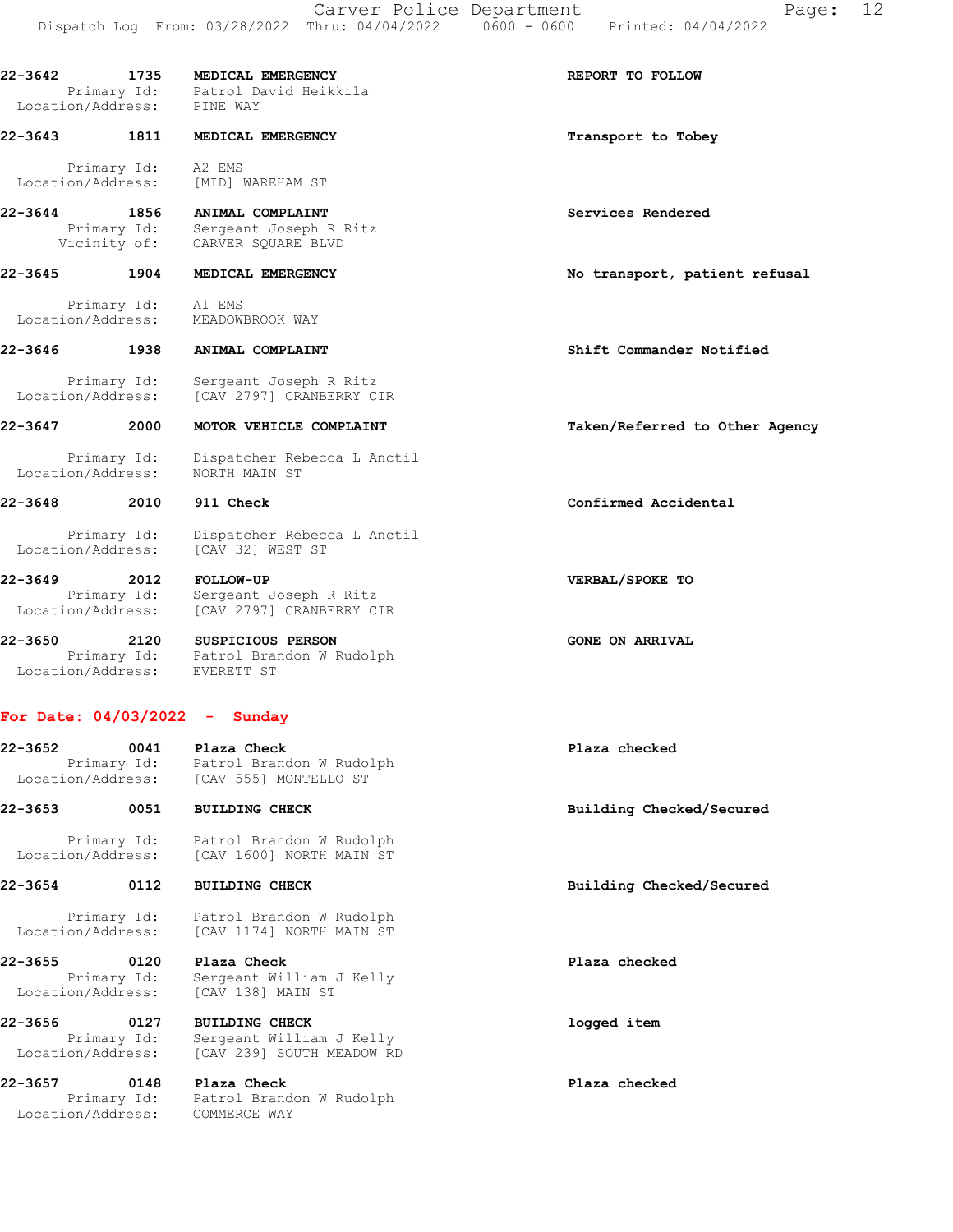22-3642 1735 MEDICAL EMERGENCY **1200 REPORT TO FOLLOW**  Primary Id: Patrol David Heikkila Location/Address: PINE WAY 22-3643 1811 MEDICAL EMERGENCY **120 SEARCH 1811** MEDICAL EMERGENCY Primary Id: A2 EMS Location/Address: [MID] WAREHAM ST 22-3644 1856 ANIMAL COMPLAINT Services Rendered Primary Id: Sergeant Joseph R Ritz Vicinity of: CARVER SQUARE BLVD 22-3645 1904 MEDICAL EMERGENCY No transport, patient refusal Primary Id: A1 EMS Location/Address: MEADOWBROOK WAY 22-3646 1938 ANIMAL COMPLAINT Shift Commander Notified Primary Id: Sergeant Joseph R Ritz Location/Address: [CAV 2797] CRANBERRY CIR 22-3647 2000 MOTOR VEHICLE COMPLAINT Taken/Referred to Other Agency Primary Id: Dispatcher Rebecca L Anctil Location/Address: NORTH MAIN ST 22-3648 2010 911 Check Confirmed Accidental Primary Id: Dispatcher Rebecca L Anctil Location/Address: [CAV 32] WEST ST 22-3649 2012 FOLLOW-UP VERBAL/SPOKE TO Primary Id: Sergeant Joseph R Ritz Location/Address: [CAV 2797] CRANBERRY CIR 22-3650 2120 SUSPICIOUS PERSON GONE ON ARRIVAL Primary Id: Patrol Brandon W Rudolph Location/Address: EVERETT ST For Date: 04/03/2022 - Sunday 22-3652 0041 Plaza Check Plaza checked Primary Id: Patrol Brandon W Rudolph Location/Address: [CAV 555] MONTELLO ST 22-3653 0051 BUILDING CHECK Building Checked/Secured Primary Id: Patrol Brandon W Rudolph Location/Address: [CAV 1600] NORTH MAIN ST 22-3654 0112 BUILDING CHECK Building Checked/Secured

 Primary Id: Patrol Brandon W Rudolph Location/Address: [CAV 1174] NORTH MAIN ST

22-3655 0120 Plaza Check Plaza checked Primary Id: Sergeant William J Kelly Location/Address: [CAV 138] MAIN ST

22-3656 0127 BUILDING CHECK logged item Primary Id: Sergeant William J Kelly Location/Address: [CAV 239] SOUTH MEADOW RD

22-3657 0148 Plaza Check Plaza checked Primary Id: Patrol Brandon W Rudolph Location/Address: COMMERCE WAY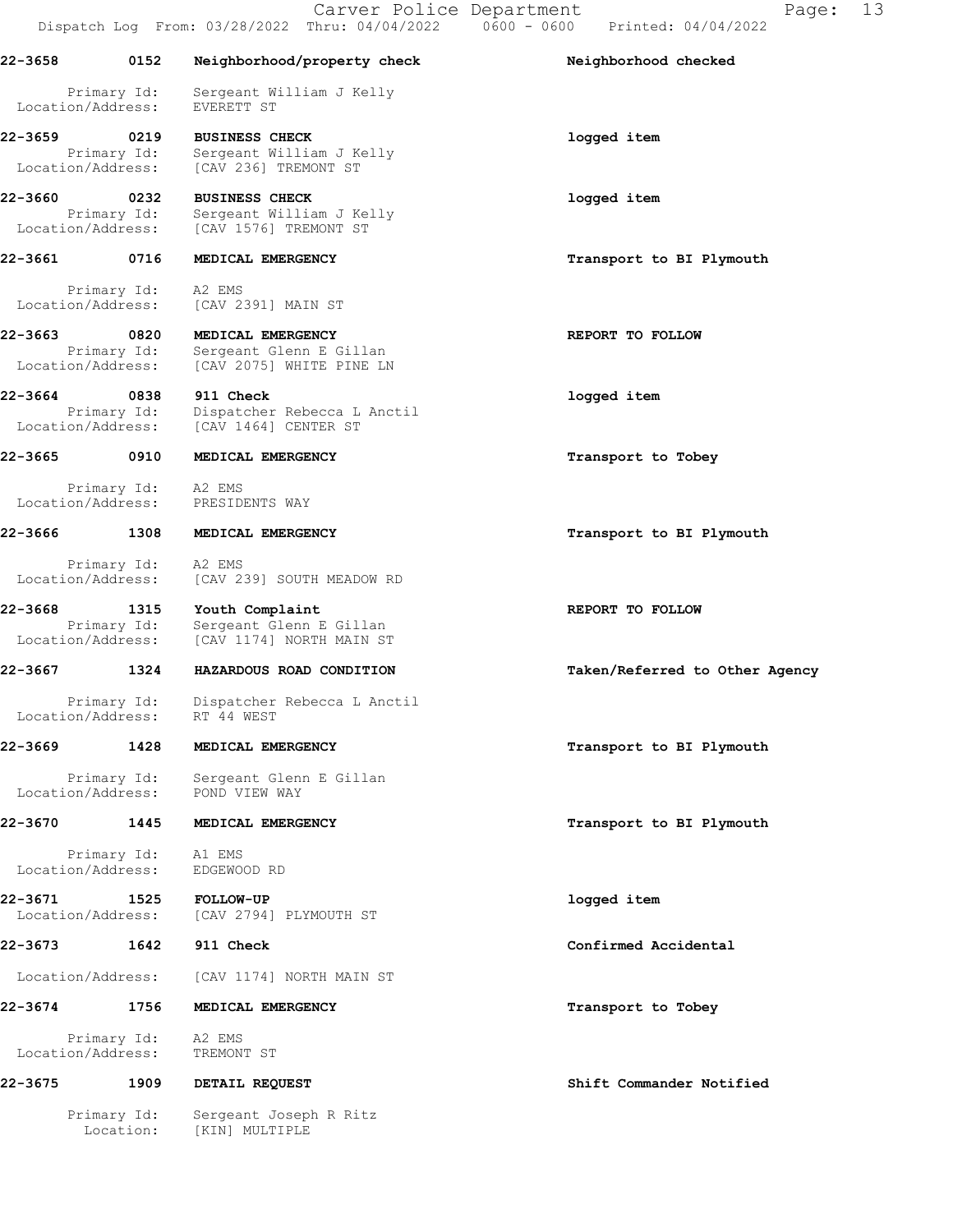| 22-3658                           | 0152                     | Neighborhood/property check                                                                                                     | Neighborhood checked           |
|-----------------------------------|--------------------------|---------------------------------------------------------------------------------------------------------------------------------|--------------------------------|
| Location/Address:                 | Primary Id:              | Sergeant William J Kelly<br>EVERETT ST                                                                                          |                                |
| 22-3659                           | 0219                     | <b>BUSINESS CHECK</b><br>Primary Id: Sergeant William J K<br>Location/Address: [CAV 236] TREMONT ST<br>Sergeant William J Kelly | logged item                    |
| 22-3660<br>Location/Address:      | 0232<br>Primary Id:      | <b>BUSINESS CHECK</b><br>Sergeant William J Kelly<br>[CAV 1576] TREMONT ST                                                      | logged item                    |
| 22-3661                           | 0716                     | MEDICAL EMERGENCY                                                                                                               | Transport to BI Plymouth       |
|                                   | Primary Id: A2 EMS       | Location/Address: [CAV 2391] MAIN ST                                                                                            |                                |
| 22-3663 0820<br>Location/Address: | Primary Id:              | MEDICAL EMERGENCY<br>Sergeant Glenn E Gillan<br>[CAV 2075] WHITE PINE LN                                                        | REPORT TO FOLLOW               |
| 22-3664 0838                      | Primary Id:              | 911 Check<br>Dispatcher Rebecca L Anctil<br>Location/Address: [CAV 1464] CENTER ST                                              | logged item                    |
| 22-3665                           | 0910                     | MEDICAL EMERGENCY                                                                                                               | Transport to Tobey             |
|                                   | Primary Id: A2 EMS       | Location/Address: PRESIDENTS WAY                                                                                                |                                |
| 22-3666                           | 1308                     | MEDICAL EMERGENCY                                                                                                               | Transport to BI Plymouth       |
|                                   |                          | Primary Id: A2 EMS<br>Location/Address: [CAV 239] SOUTH MEADOW RD                                                               |                                |
| 22-3668<br>Location/Address:      | 1315<br>Primary Id:      | Youth Complaint<br>Sergeant Glenn E Gillan<br>[CAV 1174] NORTH MAIN ST                                                          | REPORT TO FOLLOW               |
| 22-3667                           | 1324                     | HAZARDOUS ROAD CONDITION                                                                                                        | Taken/Referred to Other Agency |
| Location/Address:                 | Primary Id:              | Dispatcher Rebecca L Anctil<br>RT 44 WEST                                                                                       |                                |
| 22-3669                           |                          | 1428 MEDICAL EMERGENCY                                                                                                          | Transport to BI Plymouth       |
|                                   |                          | Primary Id: Sergeant Glenn E Gillan<br>Location/Address: POND VIEW WAY                                                          |                                |
| 22-3670                           | 1445                     | MEDICAL EMERGENCY                                                                                                               | Transport to BI Plymouth       |
|                                   | Primary Id: Al EMS       | Location/Address: EDGEWOOD RD                                                                                                   |                                |
| 22-3671                           |                          | 1525 FOLLOW-UP<br>Location/Address: [CAV 2794] PLYMOUTH ST                                                                      | logged item                    |
| 22-3673                           | 1642                     | 911 Check                                                                                                                       | Confirmed Accidental           |
| Location/Address:                 |                          | [CAV 1174] NORTH MAIN ST                                                                                                        |                                |
| 22-3674                           | 1756                     | MEDICAL EMERGENCY                                                                                                               | Transport to Tobey             |
|                                   | Primary Id: A2 EMS       | Location/Address: TREMONT ST                                                                                                    |                                |
| 22-3675                           |                          | 1909 DETAIL REQUEST                                                                                                             | Shift Commander Notified       |
|                                   | Primary Id:<br>Location: | Sergeant Joseph R Ritz<br>[KIN] MULTIPLE                                                                                        |                                |